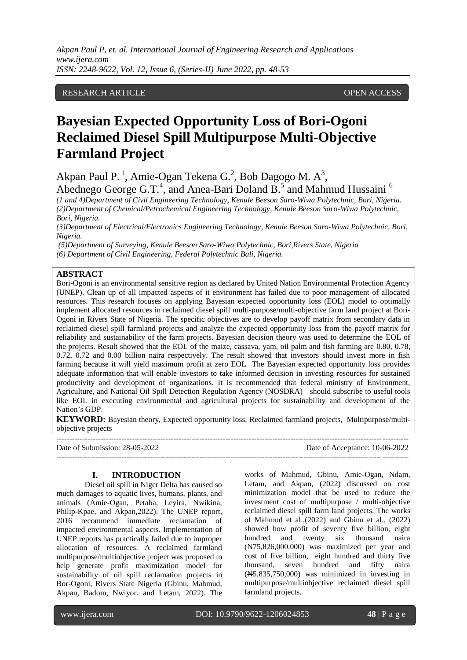## RESEARCH ARTICLE **CONSERVERS** OPEN ACCESS

# **Bayesian Expected Opportunity Loss of Bori-Ogoni Reclaimed Diesel Spill Multipurpose Multi-Objective Farmland Project**

Akpan Paul P.<sup>1</sup>, Amie-Ogan Tekena G.<sup>2</sup>, Bob Dagogo M. A<sup>3</sup>, Abednego George G.T.<sup>4</sup>, and Anea-Bari Doland B.<sup>5</sup> and Mahmud Hussaini<sup>6</sup>

*(1 and 4)Department of Civil Engineering Technology, Kenule Beeson Saro-Wiwa Polytechnic, Bori, Nigeria. (2)Department of Chemical/Petrochemical Engineering Technology, Kenule Beeson Saro-Wiwa Polytechnic, Bori, Nigeria.*

*(3)Department of Electrical/Electronics Engineering Technology, Kenule Beeson Saro-Wiwa Polytechnic, Bori, Nigeria.*

*(5)Department of Surveying, Kenule Beeson Saro-Wiwa Polytechnic, Bori,Rivers State, Nigeria (6) Department of Civil Engineering, Federal Polytechnic Bali, Nigeria.*

## **ABSTRACT**

Bori-Ogoni is an environmental sensitive region as declared by United Nation Environmental Protection Agency (UNEP). Clean up of all impacted aspects of it environment has failed due to poor management of allocated resources. This research focuses on applying Bayesian expected opportunity loss (EOL) model to optimally implement allocated resources in reclaimed diesel spill multi-purpose/multi-objective farm land project at Bori-Ogoni in Rivers State of Nigeria. The specific objectives are to develop payoff matrix from secondary data in reclaimed diesel spill farmland projects and analyze the expected opportunity loss from the payoff matrix for reliability and sustainability of the farm projects. Bayesian decision theory was used to determine the EOL of the projects. Result showed that the EOL of the maize, cassava, yam, oil palm and fish farming are 0.80, 0.78, 0.72, 0.72 and 0.00 billion naira respectively. The result showed that investors should invest more in fish farming because it will yield maximum profit at zero EOL The Bayesian expected opportunity loss provides adequate information that will enable investors to take informed decision in investing resources for sustained productivity and development of organizations. It is recommended that federal ministry of Environment, Agriculture, and National Oil Spill Detection Regulation Agency (NOSDRA) should subscribe to useful tools like EOL in executing environmental and agricultural projects for sustainability and development of the Nation's GDP.

**KEYWORD:** Bayesian theory, Expected opportunity loss, Reclaimed farmland projects, Multipurpose/multiobjective projects

Date of Submission: 28-05-2022 Date of Acceptance: 10-06-2022

---------------------------------------------------------------------------------------------------------------------------------------

#### **I. INTRODUCTION**

---------------------------------------------------------------------------------------------------------------------------------------

Diesel oil spill in Niger Delta has caused so much damages to aquatic lives, humans, plants, and animals (Amie-Ogan, Petaba, Leyira, Nwikina, Philip-Kpae, and Akpan,2022). The UNEP report, 2016 recommend immediate reclamation of impacted environmental aspects. Implementation of UNEP reports has practically failed due to improper allocation of resources. A reclaimed farmland multipurpose/multiobjective project was proposed to help generate profit maximization model for sustainability of oil spill reclamation projects in Bor-Ogoni, Rivers State Nigeria (Gbinu, Mahmud, Akpan, Badom, Nwiyor. and Letam, 2022). The works of Mahmud, Gbinu, Amie-Ogan, Ndam, Letam, and Akpan, (2022) discussed on cost minimization model that be used to reduce the investment cost of multipurpose / multi-objective reclaimed diesel spill farm land projects. The works of Mahmud et al.,(2022) and Gbinu et al., (2022) showed how profit of seventy five billion, eight hundred and twenty six thousand naira  $(\text{N75}, 826, 000, 000)$  was maximized per year and cost of five billion, eight hundred and thirty five thousand, seven hundred and fifty naira (N5,835,750,000) was minimized in investing in multipurpose/multiobjective reclaimed diesel spill farmland projects.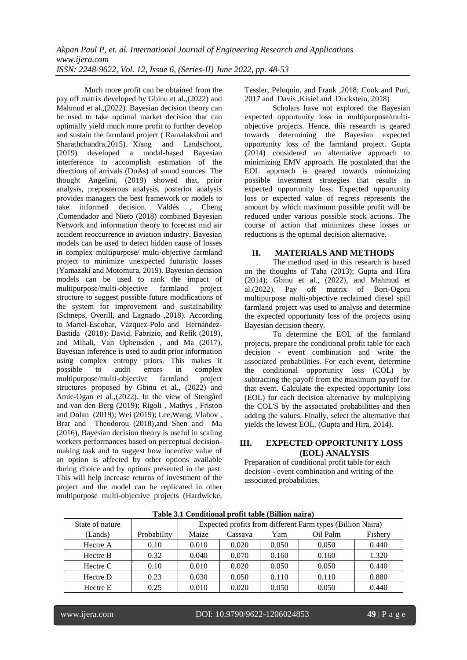Much more profit can be obtained from the pay off matrix developed by Gbinu et al.,(2022) and Mahmud et al.,(2022). Bayesian decision theory can be used to take optimal market decision that can optimally yield much more profit to further develop and sustain the farmland project ( Ramalakshmi and Sharathchandra,2015). Xiang and Landschoot, (2019) developed a modal-based Bayesian interference to accomplish estimation of the directions of arrivals (DoAs) of sound sources. The thought Angelini, (2019) showed that, prior analysis, preposterous analysis, posterior analysis provides managers the best framework or models to take informed decision. Valdés , Cheng ,Comendador and Nieto (2018) combined Bayesian Network and information theory to forecast mid air accident reoccurrence in aviation industry. Bayesian models can be used to detect hidden cause of losses in complex multipurpose/ multi-objective farmland project to minimize unexpected futuristic losses (Yamazaki and Motomura, 2019). Bayesian decision models can be used to rank the impact of multipurpose/multi-objective farmland project structure to suggest possible future modifications of the system for improvement and sustainability (Schneps, Overill, and Lagnado ,2018). According to Martel-Escobar, Vázquez-Polo and Hernández-Bastida (2018); David, Fabrizio, and Refik (2019), and Mihali, Van Opheusden , and Ma (2017), Bayesian inference is used to audit prior information using complex entropy priors. This makes it possible to audit errors in complex multipurpose/multi-objective farmland project structures proposed by Gbinu et al., (2022) and Amie-Ogan et al.,(2022). In the view of Stengård and van den Berg (2019); Rigoli , Mathys , Friston and Dolan (2019); Wei (2019); Lee,Wang, Vlahov , Brar and Theodorou (2018),and Shen and Ma (2016), Bayesian decision theory is useful in scaling workers performances based on perceptual decisionmaking task and to suggest how incentive value of an option is affected by other options available during choice and by options presented in the past. This will help increase returns of investment of the project and the model can be replicated in other multipurpose multi-objective projects (Hardwicke, Tessler, Peloquin, and Frank ,2018; Cook and Puri, 2017 and Davis ,Kisiel and Duckstein, 2018)

Scholars have not explored the Bayesian expected opportunity loss in multipurpose/multiobjective projects. Hence, this research is geared towards determining the Bayesian expected opportunity loss of the farmland project. Gupta (2014) considered an alternative approach to minimizing EMV approach. He postulated that the EOL approach is geared towards minimizing possible investment strategies that results in expected opportunity loss. Expected opportunity loss or expected value of regrets represents the amount by which maximum possible profit will be reduced under various possible stock actions. The course of action that minimizes these losses or reductions is the optimal decision alternative.

## **II. MATERIALS AND METHODS**

The method used in this research is based on the thoughts of Taha (2013); Gupta and Hira (2014); Gbinu et al., (2022), and Mahmud et al.(2022). Pay off matrix of Bori-Ogoni multipurpose multi-objective reclaimed diesel spill farmland project was used to analyse and determine the expected opportunity loss of the projects using Bayesian decision theory.

To determine the EOL of the farmland projects, prepare the conditional profit table for each decision - event combination and write the associated probabilities. For each event, determine the conditional opportunity loss (COL) by subtracting the payoff from the maximum payoff for that event. Calculate the expected opportunity loss (EOL) for each decision alternative by multiplying the COL'S by the associated probabilities and then adding the values. Finally, select the alternative that yields the lowest EOL. (Gupta and Hira, 2014).

## **III. EXPECTED OPPORTUNITY LOSS (EOL) ANALYSIS**

Preparation of conditional profit table for each decision - event combination and writing of the associated probabilities.

| State of nature |             | Expected profits from different Farm types (Billion Naira) |         |       |          |         |  |
|-----------------|-------------|------------------------------------------------------------|---------|-------|----------|---------|--|
| (Lands)         | Probability | Maize                                                      | Cassava | Yam   | Oil Palm | Fishery |  |
| Hectre A        | 0.10        | 0.010                                                      | 0.020   | 0.050 | 0.050    | 0.440   |  |
| Hectre B        | 0.32        | 0.040                                                      | 0.070   | 0.160 | 0.160    | 1.320   |  |
| Hectre C        | 0.10        | 0.010                                                      | 0.020   | 0.050 | 0.050    | 0.440   |  |
| Hectre D        | 0.23        | 0.030                                                      | 0.050   | 0.110 | 0.110    | 0.880   |  |
| Hectre E        | 0.25        | 0.010                                                      | 0.020   | 0.050 | 0.050    | 0.440   |  |

**Table 3.1 Conditional profit table (Billion naira)**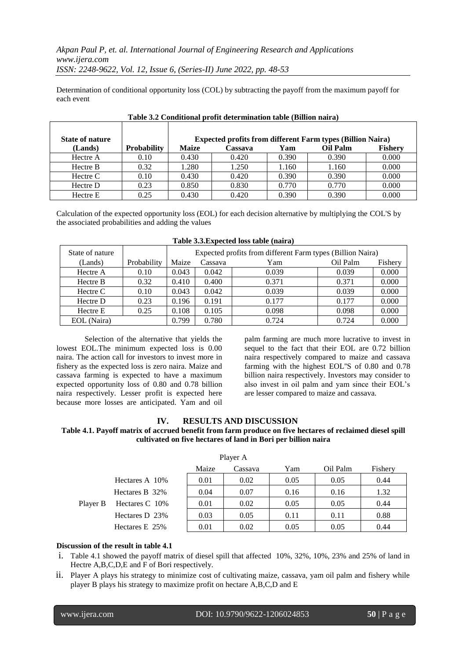*Akpan Paul P, et. al. International Journal of Engineering Research and Applications www.ijera.com ISSN: 2248-9622, Vol. 12, Issue 6, (Series-II) June 2022, pp. 48-53*

Determination of conditional opportunity loss (COL) by subtracting the payoff from the maximum payoff for each event

| <b>State of nature</b> |                    | <b>Expected profits from different Farm types (Billion Naira)</b> |         |       |                 |                |  |
|------------------------|--------------------|-------------------------------------------------------------------|---------|-------|-----------------|----------------|--|
| (Lands)                | <b>Probability</b> | <b>Maize</b>                                                      | Cassava | Yam   | <b>Oil Palm</b> | <b>Fishery</b> |  |
| Hectre A               | 0.10               | 0.430                                                             | 0.420   | 0.390 | 0.390           | 0.000          |  |
| Hectre B               | 0.32               | 1.280                                                             | 1.250   | 1.160 | 1.160           | 0.000          |  |
| Hectre C               | 0.10               | 0.430                                                             | 0.420   | 0.390 | 0.390           | 0.000          |  |
| Hectre D               | 0.23               | 0.850                                                             | 0.830   | 0.770 | 0.770           | 0.000          |  |
| Hectre E               | 0.25               | 0.430                                                             | 0.420   | 0.390 | 0.390           | 0.000          |  |

Calculation of the expected opportunity loss (EOL) for each decision alternative by multiplying the COL'S by the associated probabilities and adding the values

| State of nature |             | Expected profits from different Farm types (Billion Naira) |         |       |          |         |  |
|-----------------|-------------|------------------------------------------------------------|---------|-------|----------|---------|--|
| (Lands)         | Probability | Maize                                                      | Cassava | Yam   | Oil Palm | Fishery |  |
| Hectre A        | 0.10        | 0.043                                                      | 0.042   | 0.039 | 0.039    | 0.000   |  |
| Hectre B        | 0.32        | 0.410                                                      | 0.400   | 0.371 | 0.371    | 0.000   |  |
| Hectre C        | 0.10        | 0.043                                                      | 0.042   | 0.039 | 0.039    | 0.000   |  |
| Hectre D        | 0.23        | 0.196                                                      | 0.191   | 0.177 | 0.177    | 0.000   |  |
| Hectre E        | 0.25        | 0.108                                                      | 0.105   | 0.098 | 0.098    | 0.000   |  |
| EOL (Naira)     |             | 0.799                                                      | 0.780   | 0.724 | 0.724    | 0.000   |  |

Selection of the alternative that yields the lowest EOL.The minimum expected loss is 0.00 naira. The action call for investors to invest more in fishery as the expected loss is zero naira. Maize and cassava farming is expected to have a maximum expected opportunity loss of 0.80 and 0.78 billion naira respectively. Lesser profit is expected here because more losses are anticipated. Yam and oil palm farming are much more lucrative to invest in sequel to the fact that their EOL are 0.72 billion naira respectively compared to maize and cassava farming with the highest EOL''S of 0.80 and 0.78 billion naira respectively. Investors may consider to also invest in oil palm and yam since their EOL's are lesser compared to maize and cassava.

#### **IV. RESULTS AND DISCUSSION**

#### **Table 4.1. Payoff matrix of accrued benefit from farm produce on five hectares of reclaimed diesel spill cultivated on five hectares of land in Bori per billion naira**

| Player A |                 |       |         |      |          |         |  |
|----------|-----------------|-------|---------|------|----------|---------|--|
|          |                 | Maize | Cassava | Yam  | Oil Palm | Fishery |  |
|          | Hectares A 10\% | 0.01  | 0.02    | 0.05 | 0.05     | 0.44    |  |
| Player B | Hectares B 32%  | 0.04  | 0.07    | 0.16 | 0.16     | 1.32    |  |
|          | Hectares C 10%  | 0.01  | 0.02    | 0.05 | 0.05     | 0.44    |  |
|          | Hectares D 23%  | 0.03  | 0.05    | 0.11 | 0.11     | 0.88    |  |
|          | Hectares E 25%  | 0.01  | 0.02    | 0.05 | 0.05     | 0.44    |  |

## **Discussion of the result in table 4.1**

- i. Table 4.1 showed the payoff matrix of diesel spill that affected 10%, 32%, 10%, 23% and 25% of land in Hectre A,B,C,D,E and F of Bori respectively.
- ii. Player A plays his strategy to minimize cost of cultivating maize, cassava, yam oil palm and fishery while player B plays his strategy to maximize profit on hectare A,B,C,D and E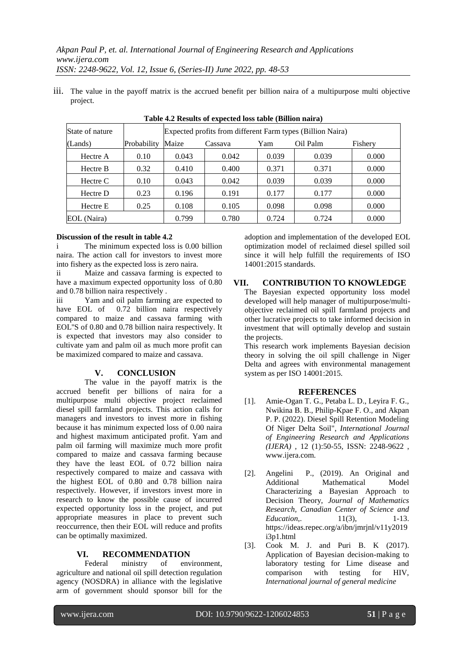iii. The value in the payoff matrix is the accrued benefit per billion naira of a multipurpose multi objective project.

| Tuble 112 Results of expected 1999 tuble (Diffion mail a) |      |                  |                                                            |       |          |         |  |  |
|-----------------------------------------------------------|------|------------------|------------------------------------------------------------|-------|----------|---------|--|--|
| State of nature                                           |      |                  | Expected profits from different Farm types (Billion Naira) |       |          |         |  |  |
| Probability<br>(Lands)                                    |      | Maize<br>Cassava |                                                            | Yam   | Oil Palm | Fishery |  |  |
| Hectre A                                                  | 0.10 | 0.043            | 0.042                                                      | 0.039 | 0.039    | 0.000   |  |  |
| Hectre B                                                  | 0.32 | 0.410            | 0.400                                                      | 0.371 | 0.371    | 0.000   |  |  |
| Hectre C                                                  | 0.10 | 0.043            | 0.042                                                      | 0.039 | 0.039    | 0.000   |  |  |
| Hectre D                                                  | 0.23 | 0.196            | 0.191                                                      | 0.177 | 0.177    | 0.000   |  |  |
| Hectre E                                                  | 0.25 | 0.108            | 0.105                                                      | 0.098 | 0.098    | 0.000   |  |  |
| EOL (Naira)                                               |      | 0.799            | 0.780                                                      | 0.724 | 0.724    | 0.000   |  |  |

## **Table 4.2 Results of expected loss table (Billion naira)**

#### **Discussion of the result in table 4.2**

The minimum expected loss is 0.00 billion naira. The action call for investors to invest more into fishery as the expected loss is zero naira.

ii Maize and cassava farming is expected to have a maximum expected opportunity loss of 0.80 and 0.78 billion naira respectively .

iii Yam and oil palm farming are expected to have EOL of 0.72 billion naira respectively compared to maize and cassava farming with EOL''S of 0.80 and 0.78 billion naira respectively. It is expected that investors may also consider to cultivate yam and palm oil as much more profit can be maximized compared to maize and cassava.

## **V. CONCLUSION**

The value in the payoff matrix is the accrued benefit per billions of naira for a multipurpose multi objective project reclaimed diesel spill farmland projects. This action calls for managers and investors to invest more in fishing because it has minimum expected loss of 0.00 naira and highest maximum anticipated profit. Yam and palm oil farming will maximize much more profit compared to maize and cassava farming because they have the least EOL of 0.72 billion naira respectively compared to maize and cassava with the highest EOL of 0.80 and 0.78 billion naira respectively. However, if investors invest more in research to know the possible cause of incurred expected opportunity loss in the project, and put appropriate measures in place to prevent such reoccurrence, then their EOL will reduce and profits can be optimally maximized.

#### **VI. RECOMMENDATION**

Federal ministry of environment, agriculture and national oil spill detection regulation agency (NOSDRA) in alliance with the legislative arm of government should sponsor bill for the adoption and implementation of the developed EOL optimization model of reclaimed diesel spilled soil since it will help fulfill the requirements of ISO 14001:2015 standards.

## **VII. CONTRIBUTION TO KNOWLEDGE**

The Bayesian expected opportunity loss model developed will help manager of multipurpose/multiobjective reclaimed oil spill farmland projects and other lucrative projects to take informed decision in investment that will optimally develop and sustain the projects.

This research work implements Bayesian decision theory in solving the oil spill challenge in Niger Delta and agrees with environmental management system as per ISO 14001:2015.

## **REFERENCES**

- [1]. Amie-Ogan T. G., Petaba L. D., Leyira F. G., Nwikina B. B., Philip-Kpae F. O., and Akpan P. P. (2022). Diesel Spill Retention Modeling Of Niger Delta Soil", *International Journal of Engineering Research and Applications (IJERA)* , 12 (1):50-55, ISSN: 2248-9622 , www.ijera.com.
- [2]. Angelini P., (2019). An Original and Additional Mathematical Model Characterizing a Bayesian Approach to Decision Theory, *Journal of Mathematics Research, Canadian Center of Science and Education*, 11(3), 1-13. https://ideas.repec.org/a/ibn/jmrjnl/v11y2019 i3p1.html
- [3]. Cook M. J. and Puri B. K (2017). Application of Bayesian decision-making to laboratory testing for Lime disease and comparison with testing for HIV, *International journal of general medicine*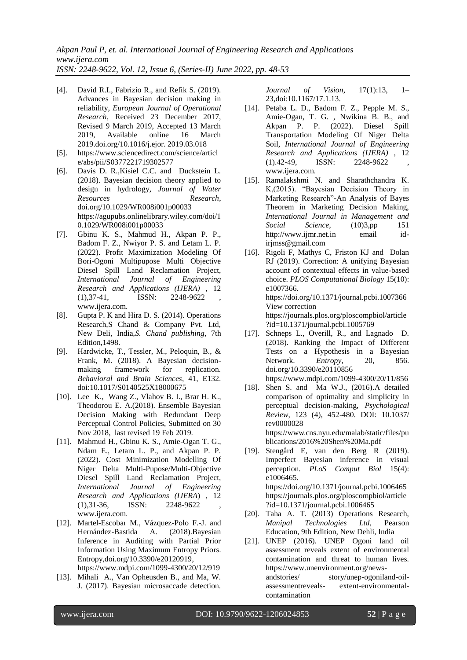*Akpan Paul P, et. al. International Journal of Engineering Research and Applications www.ijera.com ISSN: 2248-9622, Vol. 12, Issue 6, (Series-II) June 2022, pp. 48-53*

- [4]. David R.I., Fabrizio R., and Refik S. (2019). Advances in Bayesian decision making in reliability*, European Journal of Operational Research*, Received 23 December 2017, Revised 9 March 2019, Accepted 13 March 2019, Available online 16 March 2019.doi.org/10.1016/j.ejor. 2019.03.018
- [5]. https://www.sciencedirect.com/science/articl e/abs/pii/S0377221719302577
- [6]. Davis D. R.,Kisiel C.C. and Duckstein L. (2018). Bayesian decision theory applied to design in hydrology, *Journal of Water Resources Research*, doi.org/10.1029/WR008i001p00033 https://agupubs.onlinelibrary.wiley.com/doi/1 0.1029/WR008i001p00033
- [7]. Gbinu K. S., Mahmud H., Akpan P. P., Badom F. Z., Nwiyor P. S. and Letam L. P. (2022). Profit Maximization Modeling Of Bori-Ogoni Multipupose Multi Objective Diesel Spill Land Reclamation Project, *International Journal of Engineering Research and Applications (IJERA)* , 12  $(1),37-41,$  ISSN: 2248-9622 [www.ijera.com.](http://www.ijera.com/)
- [8]. Gupta P. K and Hira D. S. (2014). Operations Research,S Chand & Company Pvt. Ltd, New Deli, India,*S. Chand publishing*, 7th Edition,1498.
- [9]. Hardwicke, T., Tessler, M., Peloquin, B., & Frank, M. (2018). A Bayesian decisionmaking framework for replication. *Behavioral and Brain Sciences*, 41, E132. doi:10.1017/S0140525X18000675
- [10]. Lee K., Wang Z., Vlahov B. I., Brar H. K., Theodorou E. A.(2018). Ensemble Bayesian Decision Making with Redundant Deep Perceptual Control Policies, Submitted on 30 Nov 2018, last revised 19 Feb 2019.
- [11]. Mahmud H., Gbinu K. S., Amie-Ogan T. G., Ndam E., Letam L. P., and Akpan P. P. (2022). Cost Minimization Modelling Of Niger Delta Multi-Pupose/Multi-Objective Diesel Spill Land Reclamation Project, *International Journal of Engineering Research and Applications (IJERA*) , 12  $(1),31-36,$  ISSN:  $2248-9622$ [www.ijera.com.](http://www.ijera.com/)
- [12]. Martel-Escobar M., Vázquez-Polo F.-J. and Hernández-Bastida A. (2018).Bayesian Inference in Auditing with Partial Prior Information Using Maximum Entropy Priors. Entropy,doi.org/10.3390/e20120919,
	- https://www.mdpi.com/1099-4300/20/12/919
- [13]. Mihali A., Van Opheusden B., and Ma, W. J. (2017). Bayesian microsaccade detection.

*Journal of Vision*, 17(1):13, 1– 23,doi:10.1167/17.1.13.

- [14]. Petaba L. D., Badom F. Z., Pepple M. S., Amie-Ogan, T. G. , Nwikina B. B., and Akpan P. P. (2022). Diesel Spill Transportation Modeling Of Niger Delta Soil, *International Journal of Engineering Research and Applications (IJERA)* , 12  $(1).42-49$ , ISSN:  $2248-9622$ www.ijera.com.
- [15]. Ramalakshmi N. and Sharathchandra K. K,(2015). "Bayesian Decision Theory in Marketing Research"-An Analysis of Bayes Theorem in Marketing Decision Making, *International Journal in Management and Social Science,* (10)3,pp 151 http://www.ijmr.net.in email idirjmss@gmail.com
- [16]. Rigoli F, Mathys C, Friston KJ and Dolan RJ (2019). Correction: A unifying Bayesian account of contextual effects in value-based choice. *PLOS Computational Biology* 15(10): e1007366. https://doi.org/10.1371/journal.pcbi.1007366 View correction https://journals.plos.org/ploscompbiol/article ?id=10.1371/journal.pcbi.1005769
- [17]. Schneps L., Overill, R., and Lagnado D. (2018). Ranking the Impact of Different Tests on a Hypothesis in a Bayesian Network. *Entropy,* 20, 856. doi.org/10.3390/e20110856 https://www.mdpi.com/1099-4300/20/11/856
- [18]. Shen S. and Ma W.J., (2016).A detailed comparison of optimality and simplicity in perceptual decision-making, *Psychological Review*, 123 (4), 452-480. DOI: [10.1037/](http://dx.doi.org/10.1037/rev0000028) [rev0000028](http://dx.doi.org/10.1037/rev0000028) [https://www.cns.nyu.edu/malab/static/files/pu](https://www.cns.nyu.edu/malab/static/files/publications/2016%20Shen%20Ma.pdf)
- [blications/2016%20Shen%20Ma.pdf](https://www.cns.nyu.edu/malab/static/files/publications/2016%20Shen%20Ma.pdf) [19]. Stengård E, van den Berg R (2019). Imperfect Bayesian inference in visual perception. *PLoS Comput Biol* 15(4): e1006465. https://doi.org/10.1371/journal.pcbi.1006465 [https://journals.plos.org/ploscompbiol/article](https://journals.plos.org/ploscompbiol/article?id=10.1371/journal.pcbi.1006465) [?id=10.1371/journal.pcbi.1006465](https://journals.plos.org/ploscompbiol/article?id=10.1371/journal.pcbi.1006465)
- [20]. Taha A. T. (2013) Operations Research, *Manipal Technologies Ltd,* Pearson Education, 9th Edition, New Dehli, India
- [21]. UNEP (2016). UNEP Ogoni land oil assessment reveals extent of environmental contamination and threat to human lives. https://www.unenvironment.org/newsandstories/ story/unep-ogoniland-oilassessmentreveals- extent-environmentalcontamination